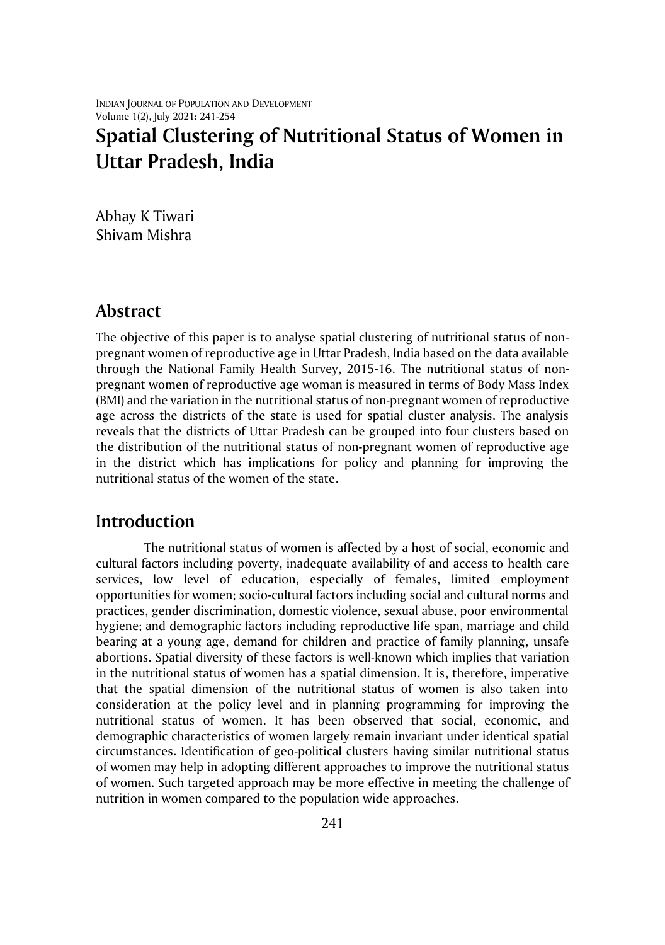INDIAN JOURNAL OF POPULATION AND DEVELOPMENT Volume 1(2), July 2021: 241-254

# **Spatial Clustering of Nutritional Status of Women in Uttar Pradesh, India**

Abhay K Tiwari Shivam Mishra

## **Abstract**

The objective of this paper is to analyse spatial clustering of nutritional status of nonpregnant women of reproductive age in Uttar Pradesh, India based on the data available through the National Family Health Survey, 2015-16. The nutritional status of nonpregnant women of reproductive age woman is measured in terms of Body Mass Index (BMI) and the variation in the nutritional status of non-pregnant women of reproductive age across the districts of the state is used for spatial cluster analysis. The analysis reveals that the districts of Uttar Pradesh can be grouped into four clusters based on the distribution of the nutritional status of non-pregnant women of reproductive age in the district which has implications for policy and planning for improving the nutritional status of the women of the state.

### **Introduction**

The nutritional status of women is affected by a host of social, economic and cultural factors including poverty, inadequate availability of and access to health care services, low level of education, especially of females, limited employment opportunities for women; socio-cultural factors including social and cultural norms and practices, gender discrimination, domestic violence, sexual abuse, poor environmental hygiene; and demographic factors including reproductive life span, marriage and child bearing at a young age, demand for children and practice of family planning, unsafe abortions. Spatial diversity of these factors is well-known which implies that variation in the nutritional status of women has a spatial dimension. It is, therefore, imperative that the spatial dimension of the nutritional status of women is also taken into consideration at the policy level and in planning programming for improving the nutritional status of women. It has been observed that social, economic, and demographic characteristics of women largely remain invariant under identical spatial circumstances. Identification of geo-political clusters having similar nutritional status of women may help in adopting different approaches to improve the nutritional status of women. Such targeted approach may be more effective in meeting the challenge of nutrition in women compared to the population wide approaches.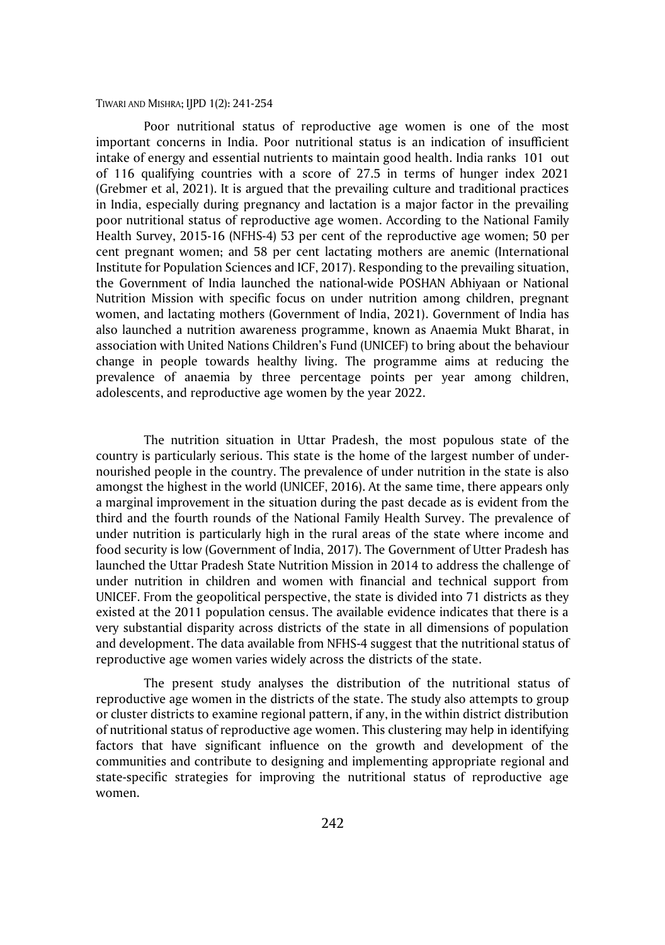Poor nutritional status of reproductive age women is one of the most important concerns in India. Poor nutritional status is an indication of insufficient intake of energy and essential nutrients to maintain good health. India ranks 101 out of 116 qualifying countries with a score of 27.5 in terms of hunger index 2021 (Grebmer et al, 2021). It is argued that the prevailing culture and traditional practices in India, especially during pregnancy and lactation is a major factor in the prevailing poor nutritional status of reproductive age women. According to the National Family Health Survey, 2015-16 (NFHS-4) 53 per cent of the reproductive age women; 50 per cent pregnant women; and 58 per cent lactating mothers are anemic (International Institute for Population Sciences and ICF, 2017). Responding to the prevailing situation, the Government of India launched the national-wide POSHAN Abhiyaan or National Nutrition Mission with specific focus on under nutrition among children, pregnant women, and lactating mothers (Government of India, 2021). Government of India has also launched a nutrition awareness programme, known as Anaemia Mukt Bharat, in association with United Nations Children's Fund (UNICEF) to bring about the behaviour change in people towards healthy living. The programme aims at reducing the prevalence of anaemia by three percentage points per year among children, adolescents, and reproductive age women by the year 2022.

The nutrition situation in Uttar Pradesh, the most populous state of the country is particularly serious. This state is the home of the largest number of undernourished people in the country. The prevalence of under nutrition in the state is also amongst the highest in the world (UNICEF, 2016). At the same time, there appears only a marginal improvement in the situation during the past decade as is evident from the third and the fourth rounds of the National Family Health Survey. The prevalence of under nutrition is particularly high in the rural areas of the state where income and food security is low (Government of India, 2017). The Government of Utter Pradesh has launched the Uttar Pradesh State Nutrition Mission in 2014 to address the challenge of under nutrition in children and women with financial and technical support from UNICEF. From the geopolitical perspective, the state is divided into 71 districts as they existed at the 2011 population census. The available evidence indicates that there is a very substantial disparity across districts of the state in all dimensions of population and development. The data available from NFHS-4 suggest that the nutritional status of reproductive age women varies widely across the districts of the state.

The present study analyses the distribution of the nutritional status of reproductive age women in the districts of the state. The study also attempts to group or cluster districts to examine regional pattern, if any, in the within district distribution of nutritional status of reproductive age women. This clustering may help in identifying factors that have significant influence on the growth and development of the communities and contribute to designing and implementing appropriate regional and state-specific strategies for improving the nutritional status of reproductive age women.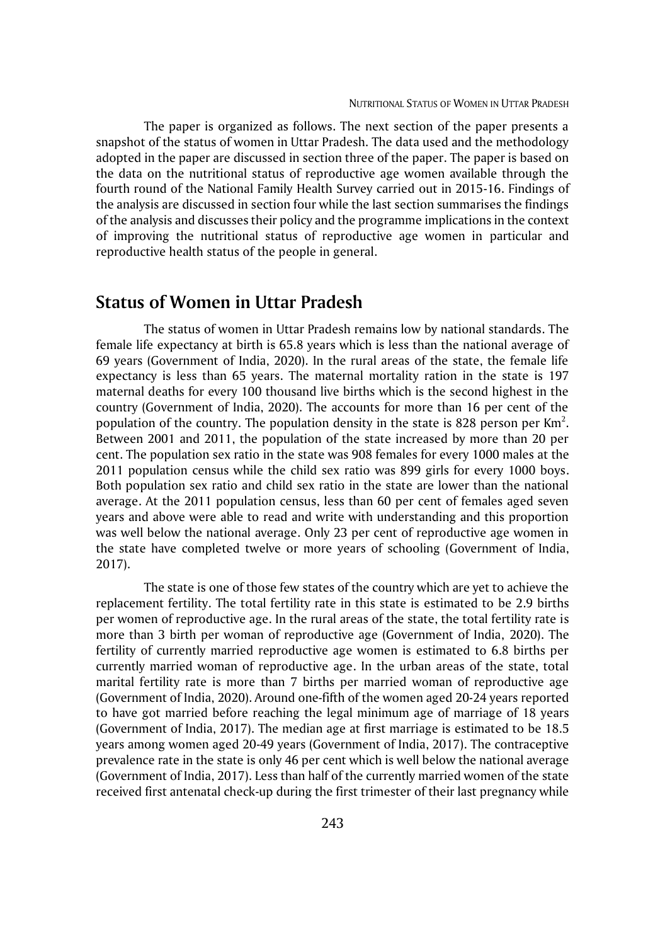The paper is organized as follows. The next section of the paper presents a snapshot of the status of women in Uttar Pradesh. The data used and the methodology adopted in the paper are discussed in section three of the paper. The paper is based on the data on the nutritional status of reproductive age women available through the fourth round of the National Family Health Survey carried out in 2015-16. Findings of the analysis are discussed in section four while the last section summarises the findings of the analysis and discusses their policy and the programme implications in the context of improving the nutritional status of reproductive age women in particular and reproductive health status of the people in general.

### **Status of Women in Uttar Pradesh**

The status of women in Uttar Pradesh remains low by national standards. The female life expectancy at birth is 65.8 years which is less than the national average of 69 years (Government of India, 2020). In the rural areas of the state, the female life expectancy is less than 65 years. The maternal mortality ration in the state is 197 maternal deaths for every 100 thousand live births which is the second highest in the country (Government of India, 2020). The accounts for more than 16 per cent of the population of the country. The population density in the state is 828 person per Km<sup>2</sup>. Between 2001 and 2011, the population of the state increased by more than 20 per cent. The population sex ratio in the state was 908 females for every 1000 males at the 2011 population census while the child sex ratio was 899 girls for every 1000 boys. Both population sex ratio and child sex ratio in the state are lower than the national average. At the 2011 population census, less than 60 per cent of females aged seven years and above were able to read and write with understanding and this proportion was well below the national average. Only 23 per cent of reproductive age women in the state have completed twelve or more years of schooling (Government of India, 2017).

The state is one of those few states of the country which are yet to achieve the replacement fertility. The total fertility rate in this state is estimated to be 2.9 births per women of reproductive age. In the rural areas of the state, the total fertility rate is more than 3 birth per woman of reproductive age (Government of India, 2020). The fertility of currently married reproductive age women is estimated to 6.8 births per currently married woman of reproductive age. In the urban areas of the state, total marital fertility rate is more than 7 births per married woman of reproductive age (Government of India, 2020). Around one-fifth of the women aged 20-24 years reported to have got married before reaching the legal minimum age of marriage of 18 years (Government of India, 2017). The median age at first marriage is estimated to be 18.5 years among women aged 20-49 years (Government of India, 2017). The contraceptive prevalence rate in the state is only 46 per cent which is well below the national average (Government of India, 2017). Less than half of the currently married women of the state received first antenatal check-up during the first trimester of their last pregnancy while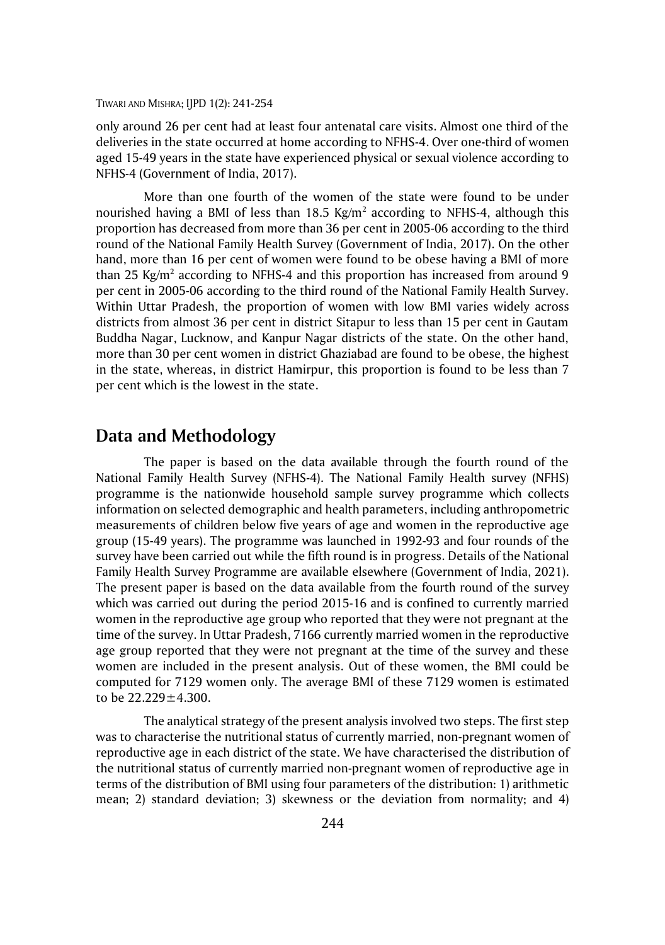only around 26 per cent had at least four antenatal care visits. Almost one third of the deliveries in the state occurred at home according to NFHS-4. Over one-third of women aged 15-49 years in the state have experienced physical or sexual violence according to NFHS-4 (Government of India, 2017).

More than one fourth of the women of the state were found to be under nourished having a BMI of less than 18.5 Kg/m $^2$  according to NFHS-4, although this proportion has decreased from more than 36 per cent in 2005-06 according to the third round of the National Family Health Survey (Government of India, 2017). On the other hand, more than 16 per cent of women were found to be obese having a BMI of more than 25 Kg/m<sup>2</sup> according to NFHS-4 and this proportion has increased from around 9 per cent in 2005-06 according to the third round of the National Family Health Survey. Within Uttar Pradesh, the proportion of women with low BMI varies widely across districts from almost 36 per cent in district Sitapur to less than 15 per cent in Gautam Buddha Nagar, Lucknow, and Kanpur Nagar districts of the state. On the other hand, more than 30 per cent women in district Ghaziabad are found to be obese, the highest in the state, whereas, in district Hamirpur, this proportion is found to be less than 7 per cent which is the lowest in the state.

### **Data and Methodology**

The paper is based on the data available through the fourth round of the National Family Health Survey (NFHS-4). The National Family Health survey (NFHS) programme is the nationwide household sample survey programme which collects information on selected demographic and health parameters, including anthropometric measurements of children below five years of age and women in the reproductive age group (15-49 years). The programme was launched in 1992-93 and four rounds of the survey have been carried out while the fifth round is in progress. Details of the National Family Health Survey Programme are available elsewhere (Government of India, 2021). The present paper is based on the data available from the fourth round of the survey which was carried out during the period 2015-16 and is confined to currently married women in the reproductive age group who reported that they were not pregnant at the time of the survey. In Uttar Pradesh, 7166 currently married women in the reproductive age group reported that they were not pregnant at the time of the survey and these women are included in the present analysis. Out of these women, the BMI could be computed for 7129 women only. The average BMI of these 7129 women is estimated to be 22.229±4.300.

The analytical strategy of the present analysis involved two steps. The first step was to characterise the nutritional status of currently married, non-pregnant women of reproductive age in each district of the state. We have characterised the distribution of the nutritional status of currently married non-pregnant women of reproductive age in terms of the distribution of BMI using four parameters of the distribution: 1) arithmetic mean; 2) standard deviation; 3) skewness or the deviation from normality; and 4)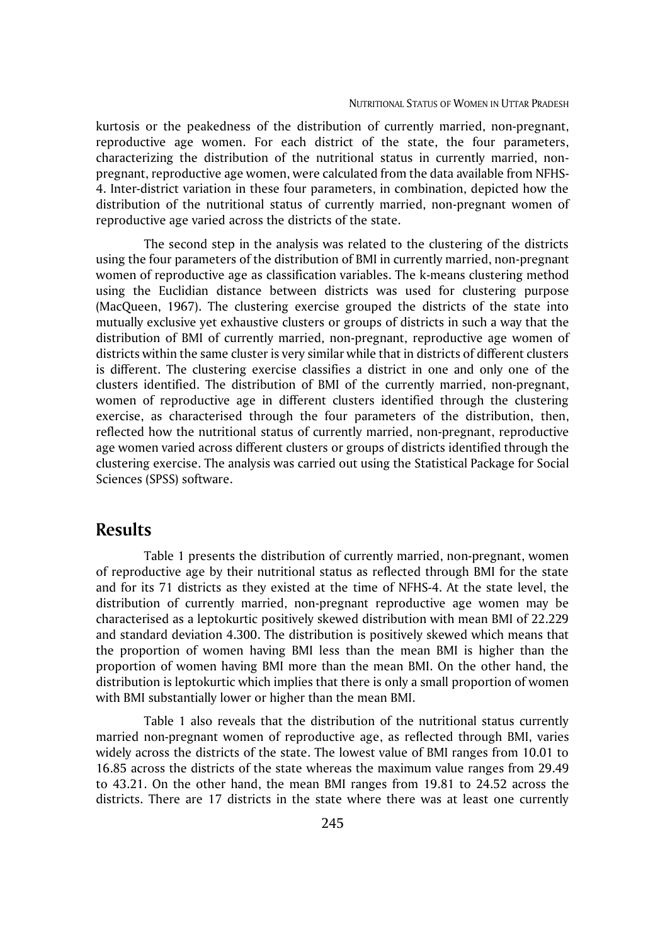kurtosis or the peakedness of the distribution of currently married, non-pregnant, reproductive age women. For each district of the state, the four parameters, characterizing the distribution of the nutritional status in currently married, nonpregnant, reproductive age women, were calculated from the data available from NFHS-4. Inter-district variation in these four parameters, in combination, depicted how the distribution of the nutritional status of currently married, non-pregnant women of reproductive age varied across the districts of the state.

The second step in the analysis was related to the clustering of the districts using the four parameters of the distribution of BMI in currently married, non-pregnant women of reproductive age as classification variables. The k-means clustering method using the Euclidian distance between districts was used for clustering purpose (MacQueen, 1967). The clustering exercise grouped the districts of the state into mutually exclusive yet exhaustive clusters or groups of districts in such a way that the distribution of BMI of currently married, non-pregnant, reproductive age women of districts within the same cluster is very similar while that in districts of different clusters is different. The clustering exercise classifies a district in one and only one of the clusters identified. The distribution of BMI of the currently married, non-pregnant, women of reproductive age in different clusters identified through the clustering exercise, as characterised through the four parameters of the distribution, then, reflected how the nutritional status of currently married, non-pregnant, reproductive age women varied across different clusters or groups of districts identified through the clustering exercise. The analysis was carried out using the Statistical Package for Social Sciences (SPSS) software.

### **Results**

Table 1 presents the distribution of currently married, non-pregnant, women of reproductive age by their nutritional status as reflected through BMI for the state and for its 71 districts as they existed at the time of NFHS-4. At the state level, the distribution of currently married, non-pregnant reproductive age women may be characterised as a leptokurtic positively skewed distribution with mean BMI of 22.229 and standard deviation 4.300. The distribution is positively skewed which means that the proportion of women having BMI less than the mean BMI is higher than the proportion of women having BMI more than the mean BMI. On the other hand, the distribution is leptokurtic which implies that there is only a small proportion of women with BMI substantially lower or higher than the mean BMI.

Table 1 also reveals that the distribution of the nutritional status currently married non-pregnant women of reproductive age, as reflected through BMI, varies widely across the districts of the state. The lowest value of BMI ranges from 10.01 to 16.85 across the districts of the state whereas the maximum value ranges from 29.49 to 43.21. On the other hand, the mean BMI ranges from 19.81 to 24.52 across the districts. There are 17 districts in the state where there was at least one currently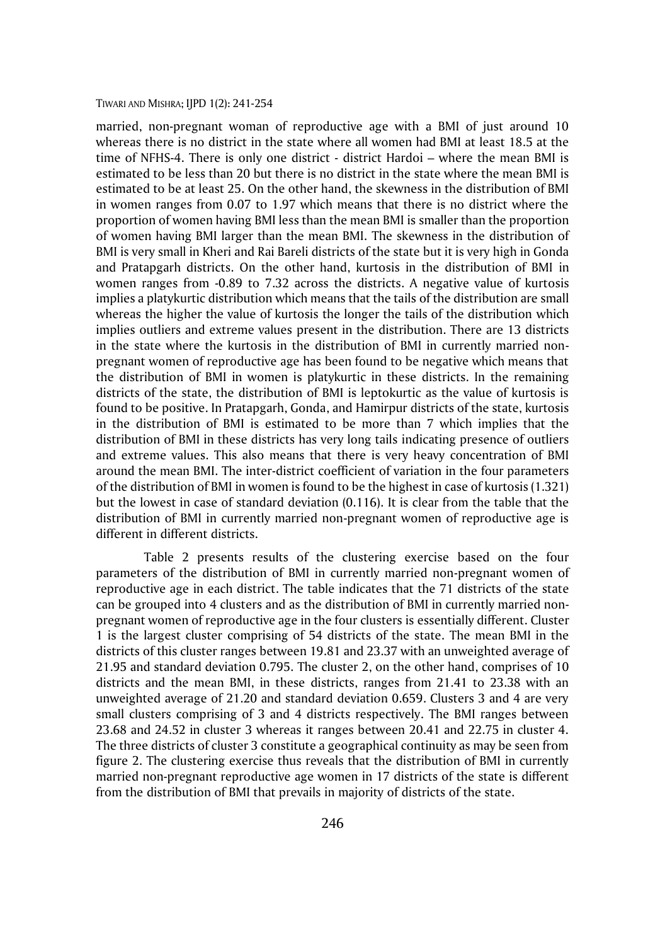married, non-pregnant woman of reproductive age with a BMI of just around 10 whereas there is no district in the state where all women had BMI at least 18.5 at the time of NFHS-4. There is only one district - district Hardoi – where the mean BMI is estimated to be less than 20 but there is no district in the state where the mean BMI is estimated to be at least 25. On the other hand, the skewness in the distribution of BMI in women ranges from 0.07 to 1.97 which means that there is no district where the proportion of women having BMI less than the mean BMI is smaller than the proportion of women having BMI larger than the mean BMI. The skewness in the distribution of BMI is very small in Kheri and Rai Bareli districts of the state but it is very high in Gonda and Pratapgarh districts. On the other hand, kurtosis in the distribution of BMI in women ranges from -0.89 to 7.32 across the districts. A negative value of kurtosis implies a platykurtic distribution which means that the tails of the distribution are small whereas the higher the value of kurtosis the longer the tails of the distribution which implies outliers and extreme values present in the distribution. There are 13 districts in the state where the kurtosis in the distribution of BMI in currently married nonpregnant women of reproductive age has been found to be negative which means that the distribution of BMI in women is platykurtic in these districts. In the remaining districts of the state, the distribution of BMI is leptokurtic as the value of kurtosis is found to be positive. In Pratapgarh, Gonda, and Hamirpur districts of the state, kurtosis in the distribution of BMI is estimated to be more than 7 which implies that the distribution of BMI in these districts has very long tails indicating presence of outliers and extreme values. This also means that there is very heavy concentration of BMI around the mean BMI. The inter-district coefficient of variation in the four parameters of the distribution of BMI in women is found to be the highest in case of kurtosis (1.321) but the lowest in case of standard deviation (0.116). It is clear from the table that the distribution of BMI in currently married non-pregnant women of reproductive age is different in different districts.

Table 2 presents results of the clustering exercise based on the four parameters of the distribution of BMI in currently married non-pregnant women of reproductive age in each district. The table indicates that the 71 districts of the state can be grouped into 4 clusters and as the distribution of BMI in currently married nonpregnant women of reproductive age in the four clusters is essentially different. Cluster 1 is the largest cluster comprising of 54 districts of the state. The mean BMI in the districts of this cluster ranges between 19.81 and 23.37 with an unweighted average of 21.95 and standard deviation 0.795. The cluster 2, on the other hand, comprises of 10 districts and the mean BMI, in these districts, ranges from 21.41 to 23.38 with an unweighted average of 21.20 and standard deviation 0.659. Clusters 3 and 4 are very small clusters comprising of 3 and 4 districts respectively. The BMI ranges between 23.68 and 24.52 in cluster 3 whereas it ranges between 20.41 and 22.75 in cluster 4. The three districts of cluster 3 constitute a geographical continuity as may be seen from figure 2. The clustering exercise thus reveals that the distribution of BMI in currently married non-pregnant reproductive age women in 17 districts of the state is different from the distribution of BMI that prevails in majority of districts of the state.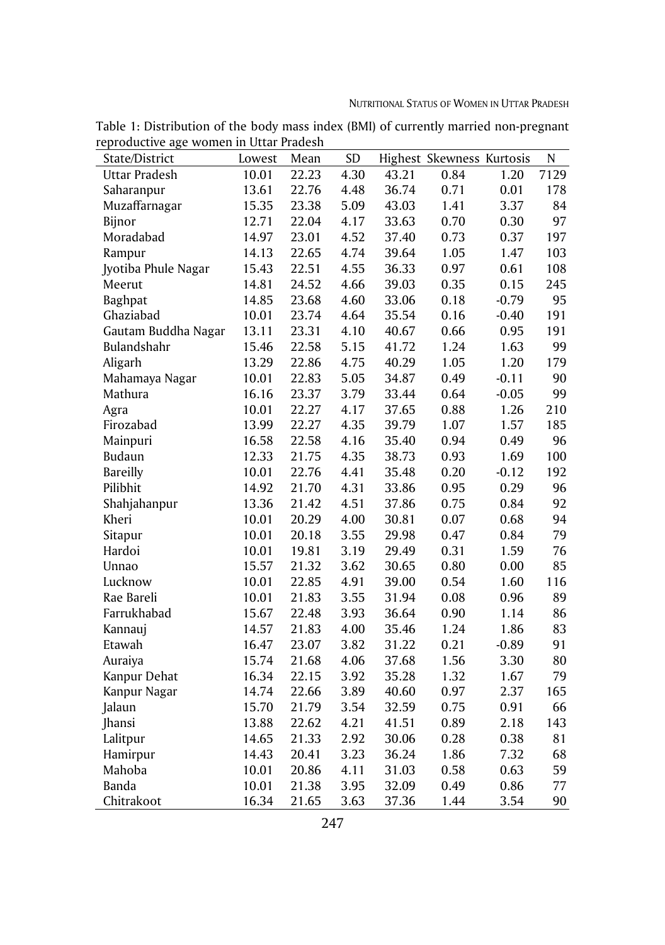| State/District       | Lowest | Mean  | SD   |       | Highest Skewness Kurtosis |         | $\mathsf{N}$ |
|----------------------|--------|-------|------|-------|---------------------------|---------|--------------|
| <b>Uttar Pradesh</b> | 10.01  | 22.23 | 4.30 | 43.21 | 0.84                      | 1.20    | 7129         |
| Saharanpur           | 13.61  | 22.76 | 4.48 | 36.74 | 0.71                      | 0.01    | 178          |
| Muzaffarnagar        | 15.35  | 23.38 | 5.09 | 43.03 | 1.41                      | 3.37    | 84           |
| Bijnor               | 12.71  | 22.04 | 4.17 | 33.63 | 0.70                      | 0.30    | 97           |
| Moradabad            | 14.97  | 23.01 | 4.52 | 37.40 | 0.73                      | 0.37    | 197          |
| Rampur               | 14.13  | 22.65 | 4.74 | 39.64 | 1.05                      | 1.47    | 103          |
| Jyotiba Phule Nagar  | 15.43  | 22.51 | 4.55 | 36.33 | 0.97                      | 0.61    | 108          |
| Meerut               | 14.81  | 24.52 | 4.66 | 39.03 | 0.35                      | 0.15    | 245          |
| Baghpat              | 14.85  | 23.68 | 4.60 | 33.06 | 0.18                      | $-0.79$ | 95           |
| Ghaziabad            | 10.01  | 23.74 | 4.64 | 35.54 | 0.16                      | $-0.40$ | 191          |
| Gautam Buddha Nagar  | 13.11  | 23.31 | 4.10 | 40.67 | 0.66                      | 0.95    | 191          |
| Bulandshahr          | 15.46  | 22.58 | 5.15 | 41.72 | 1.24                      | 1.63    | 99           |
| Aligarh              | 13.29  | 22.86 | 4.75 | 40.29 | 1.05                      | 1.20    | 179          |
| Mahamaya Nagar       | 10.01  | 22.83 | 5.05 | 34.87 | 0.49                      | $-0.11$ | 90           |
| Mathura              | 16.16  | 23.37 | 3.79 | 33.44 | 0.64                      | $-0.05$ | 99           |
| Agra                 | 10.01  | 22.27 | 4.17 | 37.65 | 0.88                      | 1.26    | 210          |
| Firozabad            | 13.99  | 22.27 | 4.35 | 39.79 | 1.07                      | 1.57    | 185          |
| Mainpuri             | 16.58  | 22.58 | 4.16 | 35.40 | 0.94                      | 0.49    | 96           |
| Budaun               | 12.33  | 21.75 | 4.35 | 38.73 | 0.93                      | 1.69    | 100          |
| <b>Bareilly</b>      | 10.01  | 22.76 | 4.41 | 35.48 | 0.20                      | $-0.12$ | 192          |
| Pilibhit             | 14.92  | 21.70 | 4.31 | 33.86 | 0.95                      | 0.29    | 96           |
| Shahjahanpur         | 13.36  | 21.42 | 4.51 | 37.86 | 0.75                      | 0.84    | 92           |
| Kheri                | 10.01  | 20.29 | 4.00 | 30.81 | 0.07                      | 0.68    | 94           |
| Sitapur              | 10.01  | 20.18 | 3.55 | 29.98 | 0.47                      | 0.84    | 79           |
| Hardoi               | 10.01  | 19.81 | 3.19 | 29.49 | 0.31                      | 1.59    | 76           |
| Unnao                | 15.57  | 21.32 | 3.62 | 30.65 | 0.80                      | 0.00    | 85           |
| Lucknow              | 10.01  | 22.85 | 4.91 | 39.00 | 0.54                      | 1.60    | 116          |
| Rae Bareli           | 10.01  | 21.83 | 3.55 | 31.94 | 0.08                      | 0.96    | 89           |
| Farrukhabad          | 15.67  | 22.48 | 3.93 | 36.64 | 0.90                      | 1.14    | 86           |
| Kannauj              | 14.57  | 21.83 | 4.00 | 35.46 | 1.24                      | 1.86    | 83           |
| Etawah               | 16.47  | 23.07 | 3.82 | 31.22 | 0.21                      | $-0.89$ | 91           |
| Auraiya              | 15.74  | 21.68 | 4.06 | 37.68 | 1.56                      | 3.30    | 80           |
| Kanpur Dehat         | 16.34  | 22.15 | 3.92 | 35.28 | 1.32                      | 1.67    | 79           |
| Kanpur Nagar         | 14.74  | 22.66 | 3.89 | 40.60 | 0.97                      | 2.37    | 165          |
| Jalaun               | 15.70  | 21.79 | 3.54 | 32.59 | 0.75                      | 0.91    | 66           |
| Jhansi               | 13.88  | 22.62 | 4.21 | 41.51 | 0.89                      | 2.18    | 143          |
| Lalitpur             | 14.65  | 21.33 | 2.92 | 30.06 | 0.28                      | 0.38    | 81           |
| Hamirpur             | 14.43  | 20.41 | 3.23 | 36.24 | 1.86                      | 7.32    | 68           |
| Mahoba               | 10.01  | 20.86 | 4.11 | 31.03 | 0.58                      | 0.63    | 59           |
| <b>Banda</b>         | 10.01  | 21.38 | 3.95 | 32.09 | 0.49                      | 0.86    | 77           |
| Chitrakoot           | 16.34  | 21.65 | 3.63 | 37.36 | 1.44                      | 3.54    | 90           |

Table 1: Distribution of the body mass index (BMI) of currently married non-pregnant reproductive age women in Uttar Pradesh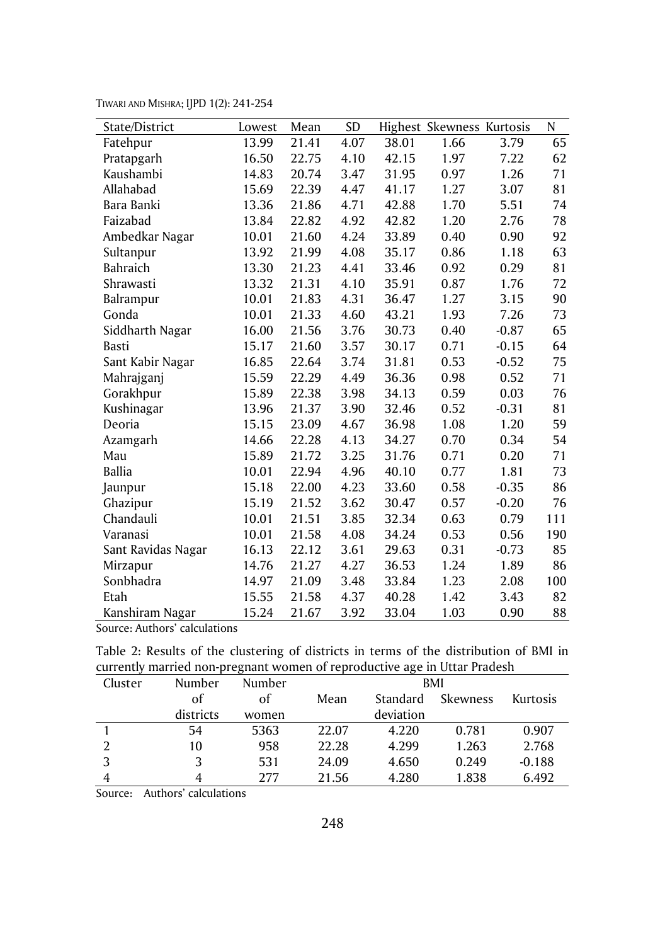TIWARI AND MISHRA; IJPD 1(2): 241-254

| Highest Skewness Kurtosis<br>65<br>21.41<br>38.01<br>1.66<br>13.99<br>4.07<br>3.79<br>Fatehpur<br>62<br>22.75<br>42.15<br>1.97<br>7.22<br>Pratapgarh<br>16.50<br>4.10<br>Kaushambi<br>14.83<br>20.74<br>1.26<br>71<br>3.47<br>31.95<br>0.97<br>Allahabad<br>22.39<br>4.47<br>3.07<br>81<br>15.69<br>41.17<br>1.27<br>1.70<br>74<br>Bara Banki<br>13.36<br>21.86<br>4.71<br>42.88<br>5.51<br>78<br>Faizabad<br>13.84<br>22.82<br>4.92<br>42.82<br>1.20<br>2.76<br>4.24<br>33.89<br>Ambedkar Nagar<br>10.01<br>21.60<br>0.40<br>0.90<br>92<br>4.08<br>0.86<br>63<br>13.92<br>21.99<br>35.17<br>1.18<br>Sultanpur<br>0.92<br>81<br>Bahraich<br>13.30<br>21.23<br>4.41<br>33.46<br>0.29<br>13.32<br>21.31<br>4.10<br>35.91<br>0.87<br>1.76<br>72<br>Shrawasti<br>4.31<br>10.01<br>21.83<br>36.47<br>1.27<br>3.15<br>90<br>Balrampur<br>73<br>Gonda<br>10.01<br>21.33<br>4.60<br>43.21<br>1.93<br>7.26<br>65<br>Siddharth Nagar<br>16.00<br>21.56<br>3.76<br>30.73<br>0.40<br>$-0.87$<br>21.60<br>3.57<br>30.17<br>0.71<br>64<br>Basti<br>15.17<br>$-0.15$<br>75<br>22.64<br>3.74<br>31.81<br>0.53<br>Sant Kabir Nagar<br>16.85<br>$-0.52$<br>71<br>36.36<br>0.98<br>Mahrajganj<br>15.59<br>22.29<br>4.49<br>0.52<br>34.13<br>76<br>Gorakhpur<br>15.89<br>22.38<br>3.98<br>0.59<br>0.03<br>Kushinagar<br>13.96<br>21.37<br>3.90<br>32.46<br>$-0.31$<br>81<br>0.52<br>23.09<br>36.98<br>1.08<br>1.20<br>59<br>Deoria<br>15.15<br>4.67<br>0.70<br>0.34<br>54<br>14.66<br>22.28<br>4.13<br>34.27<br>Azamgarh<br>Mau<br>15.89<br>21.72<br>3.25<br>31.76<br>0.71<br>0.20<br>71<br><b>Ballia</b><br>4.96<br>73<br>10.01<br>22.94<br>40.10<br>0.77<br>1.81<br>86<br>15.18<br>22.00<br>4.23<br>33.60<br>0.58<br>$-0.35$<br>Jaunpur<br>76<br>Ghazipur<br>15.19<br>21.52<br>3.62<br>30.47<br>0.57<br>$-0.20$<br>Chandauli<br>10.01<br>21.51<br>3.85<br>32.34<br>0.63<br>0.79<br>111<br>Varanasi<br>10.01<br>21.58<br>4.08<br>34.24<br>0.53<br>0.56<br>190<br>0.31<br>85<br>22.12<br>3.61<br>29.63<br>$-0.73$<br>Sant Ravidas Nagar<br>16.13<br>21.27<br>4.27<br>36.53<br>1.24<br>1.89<br>86<br>Mirzapur<br>14.76<br>Sonbhadra<br>21.09<br>33.84<br>1.23<br>100<br>14.97<br>3.48<br>2.08<br>4.37<br>40.28<br>82<br>Etah<br>15.55<br>21.58<br>1.42<br>3.43 | State/District  | Lowest | Mean  | SD   |       |      |      | ${\sf N}$ |
|-------------------------------------------------------------------------------------------------------------------------------------------------------------------------------------------------------------------------------------------------------------------------------------------------------------------------------------------------------------------------------------------------------------------------------------------------------------------------------------------------------------------------------------------------------------------------------------------------------------------------------------------------------------------------------------------------------------------------------------------------------------------------------------------------------------------------------------------------------------------------------------------------------------------------------------------------------------------------------------------------------------------------------------------------------------------------------------------------------------------------------------------------------------------------------------------------------------------------------------------------------------------------------------------------------------------------------------------------------------------------------------------------------------------------------------------------------------------------------------------------------------------------------------------------------------------------------------------------------------------------------------------------------------------------------------------------------------------------------------------------------------------------------------------------------------------------------------------------------------------------------------------------------------------------------------------------------------------------------------------------------------------------------------------------------------------------------------------------------------------------------------------------------------------------------------------------------------------------------------------|-----------------|--------|-------|------|-------|------|------|-----------|
|                                                                                                                                                                                                                                                                                                                                                                                                                                                                                                                                                                                                                                                                                                                                                                                                                                                                                                                                                                                                                                                                                                                                                                                                                                                                                                                                                                                                                                                                                                                                                                                                                                                                                                                                                                                                                                                                                                                                                                                                                                                                                                                                                                                                                                           |                 |        |       |      |       |      |      |           |
|                                                                                                                                                                                                                                                                                                                                                                                                                                                                                                                                                                                                                                                                                                                                                                                                                                                                                                                                                                                                                                                                                                                                                                                                                                                                                                                                                                                                                                                                                                                                                                                                                                                                                                                                                                                                                                                                                                                                                                                                                                                                                                                                                                                                                                           |                 |        |       |      |       |      |      |           |
|                                                                                                                                                                                                                                                                                                                                                                                                                                                                                                                                                                                                                                                                                                                                                                                                                                                                                                                                                                                                                                                                                                                                                                                                                                                                                                                                                                                                                                                                                                                                                                                                                                                                                                                                                                                                                                                                                                                                                                                                                                                                                                                                                                                                                                           |                 |        |       |      |       |      |      |           |
|                                                                                                                                                                                                                                                                                                                                                                                                                                                                                                                                                                                                                                                                                                                                                                                                                                                                                                                                                                                                                                                                                                                                                                                                                                                                                                                                                                                                                                                                                                                                                                                                                                                                                                                                                                                                                                                                                                                                                                                                                                                                                                                                                                                                                                           |                 |        |       |      |       |      |      |           |
|                                                                                                                                                                                                                                                                                                                                                                                                                                                                                                                                                                                                                                                                                                                                                                                                                                                                                                                                                                                                                                                                                                                                                                                                                                                                                                                                                                                                                                                                                                                                                                                                                                                                                                                                                                                                                                                                                                                                                                                                                                                                                                                                                                                                                                           |                 |        |       |      |       |      |      |           |
|                                                                                                                                                                                                                                                                                                                                                                                                                                                                                                                                                                                                                                                                                                                                                                                                                                                                                                                                                                                                                                                                                                                                                                                                                                                                                                                                                                                                                                                                                                                                                                                                                                                                                                                                                                                                                                                                                                                                                                                                                                                                                                                                                                                                                                           |                 |        |       |      |       |      |      |           |
|                                                                                                                                                                                                                                                                                                                                                                                                                                                                                                                                                                                                                                                                                                                                                                                                                                                                                                                                                                                                                                                                                                                                                                                                                                                                                                                                                                                                                                                                                                                                                                                                                                                                                                                                                                                                                                                                                                                                                                                                                                                                                                                                                                                                                                           |                 |        |       |      |       |      |      |           |
|                                                                                                                                                                                                                                                                                                                                                                                                                                                                                                                                                                                                                                                                                                                                                                                                                                                                                                                                                                                                                                                                                                                                                                                                                                                                                                                                                                                                                                                                                                                                                                                                                                                                                                                                                                                                                                                                                                                                                                                                                                                                                                                                                                                                                                           |                 |        |       |      |       |      |      |           |
|                                                                                                                                                                                                                                                                                                                                                                                                                                                                                                                                                                                                                                                                                                                                                                                                                                                                                                                                                                                                                                                                                                                                                                                                                                                                                                                                                                                                                                                                                                                                                                                                                                                                                                                                                                                                                                                                                                                                                                                                                                                                                                                                                                                                                                           |                 |        |       |      |       |      |      |           |
|                                                                                                                                                                                                                                                                                                                                                                                                                                                                                                                                                                                                                                                                                                                                                                                                                                                                                                                                                                                                                                                                                                                                                                                                                                                                                                                                                                                                                                                                                                                                                                                                                                                                                                                                                                                                                                                                                                                                                                                                                                                                                                                                                                                                                                           |                 |        |       |      |       |      |      |           |
|                                                                                                                                                                                                                                                                                                                                                                                                                                                                                                                                                                                                                                                                                                                                                                                                                                                                                                                                                                                                                                                                                                                                                                                                                                                                                                                                                                                                                                                                                                                                                                                                                                                                                                                                                                                                                                                                                                                                                                                                                                                                                                                                                                                                                                           |                 |        |       |      |       |      |      |           |
|                                                                                                                                                                                                                                                                                                                                                                                                                                                                                                                                                                                                                                                                                                                                                                                                                                                                                                                                                                                                                                                                                                                                                                                                                                                                                                                                                                                                                                                                                                                                                                                                                                                                                                                                                                                                                                                                                                                                                                                                                                                                                                                                                                                                                                           |                 |        |       |      |       |      |      |           |
|                                                                                                                                                                                                                                                                                                                                                                                                                                                                                                                                                                                                                                                                                                                                                                                                                                                                                                                                                                                                                                                                                                                                                                                                                                                                                                                                                                                                                                                                                                                                                                                                                                                                                                                                                                                                                                                                                                                                                                                                                                                                                                                                                                                                                                           |                 |        |       |      |       |      |      |           |
|                                                                                                                                                                                                                                                                                                                                                                                                                                                                                                                                                                                                                                                                                                                                                                                                                                                                                                                                                                                                                                                                                                                                                                                                                                                                                                                                                                                                                                                                                                                                                                                                                                                                                                                                                                                                                                                                                                                                                                                                                                                                                                                                                                                                                                           |                 |        |       |      |       |      |      |           |
|                                                                                                                                                                                                                                                                                                                                                                                                                                                                                                                                                                                                                                                                                                                                                                                                                                                                                                                                                                                                                                                                                                                                                                                                                                                                                                                                                                                                                                                                                                                                                                                                                                                                                                                                                                                                                                                                                                                                                                                                                                                                                                                                                                                                                                           |                 |        |       |      |       |      |      |           |
|                                                                                                                                                                                                                                                                                                                                                                                                                                                                                                                                                                                                                                                                                                                                                                                                                                                                                                                                                                                                                                                                                                                                                                                                                                                                                                                                                                                                                                                                                                                                                                                                                                                                                                                                                                                                                                                                                                                                                                                                                                                                                                                                                                                                                                           |                 |        |       |      |       |      |      |           |
|                                                                                                                                                                                                                                                                                                                                                                                                                                                                                                                                                                                                                                                                                                                                                                                                                                                                                                                                                                                                                                                                                                                                                                                                                                                                                                                                                                                                                                                                                                                                                                                                                                                                                                                                                                                                                                                                                                                                                                                                                                                                                                                                                                                                                                           |                 |        |       |      |       |      |      |           |
|                                                                                                                                                                                                                                                                                                                                                                                                                                                                                                                                                                                                                                                                                                                                                                                                                                                                                                                                                                                                                                                                                                                                                                                                                                                                                                                                                                                                                                                                                                                                                                                                                                                                                                                                                                                                                                                                                                                                                                                                                                                                                                                                                                                                                                           |                 |        |       |      |       |      |      |           |
|                                                                                                                                                                                                                                                                                                                                                                                                                                                                                                                                                                                                                                                                                                                                                                                                                                                                                                                                                                                                                                                                                                                                                                                                                                                                                                                                                                                                                                                                                                                                                                                                                                                                                                                                                                                                                                                                                                                                                                                                                                                                                                                                                                                                                                           |                 |        |       |      |       |      |      |           |
|                                                                                                                                                                                                                                                                                                                                                                                                                                                                                                                                                                                                                                                                                                                                                                                                                                                                                                                                                                                                                                                                                                                                                                                                                                                                                                                                                                                                                                                                                                                                                                                                                                                                                                                                                                                                                                                                                                                                                                                                                                                                                                                                                                                                                                           |                 |        |       |      |       |      |      |           |
|                                                                                                                                                                                                                                                                                                                                                                                                                                                                                                                                                                                                                                                                                                                                                                                                                                                                                                                                                                                                                                                                                                                                                                                                                                                                                                                                                                                                                                                                                                                                                                                                                                                                                                                                                                                                                                                                                                                                                                                                                                                                                                                                                                                                                                           |                 |        |       |      |       |      |      |           |
|                                                                                                                                                                                                                                                                                                                                                                                                                                                                                                                                                                                                                                                                                                                                                                                                                                                                                                                                                                                                                                                                                                                                                                                                                                                                                                                                                                                                                                                                                                                                                                                                                                                                                                                                                                                                                                                                                                                                                                                                                                                                                                                                                                                                                                           |                 |        |       |      |       |      |      |           |
|                                                                                                                                                                                                                                                                                                                                                                                                                                                                                                                                                                                                                                                                                                                                                                                                                                                                                                                                                                                                                                                                                                                                                                                                                                                                                                                                                                                                                                                                                                                                                                                                                                                                                                                                                                                                                                                                                                                                                                                                                                                                                                                                                                                                                                           |                 |        |       |      |       |      |      |           |
|                                                                                                                                                                                                                                                                                                                                                                                                                                                                                                                                                                                                                                                                                                                                                                                                                                                                                                                                                                                                                                                                                                                                                                                                                                                                                                                                                                                                                                                                                                                                                                                                                                                                                                                                                                                                                                                                                                                                                                                                                                                                                                                                                                                                                                           |                 |        |       |      |       |      |      |           |
|                                                                                                                                                                                                                                                                                                                                                                                                                                                                                                                                                                                                                                                                                                                                                                                                                                                                                                                                                                                                                                                                                                                                                                                                                                                                                                                                                                                                                                                                                                                                                                                                                                                                                                                                                                                                                                                                                                                                                                                                                                                                                                                                                                                                                                           |                 |        |       |      |       |      |      |           |
|                                                                                                                                                                                                                                                                                                                                                                                                                                                                                                                                                                                                                                                                                                                                                                                                                                                                                                                                                                                                                                                                                                                                                                                                                                                                                                                                                                                                                                                                                                                                                                                                                                                                                                                                                                                                                                                                                                                                                                                                                                                                                                                                                                                                                                           |                 |        |       |      |       |      |      |           |
|                                                                                                                                                                                                                                                                                                                                                                                                                                                                                                                                                                                                                                                                                                                                                                                                                                                                                                                                                                                                                                                                                                                                                                                                                                                                                                                                                                                                                                                                                                                                                                                                                                                                                                                                                                                                                                                                                                                                                                                                                                                                                                                                                                                                                                           |                 |        |       |      |       |      |      |           |
|                                                                                                                                                                                                                                                                                                                                                                                                                                                                                                                                                                                                                                                                                                                                                                                                                                                                                                                                                                                                                                                                                                                                                                                                                                                                                                                                                                                                                                                                                                                                                                                                                                                                                                                                                                                                                                                                                                                                                                                                                                                                                                                                                                                                                                           |                 |        |       |      |       |      |      |           |
|                                                                                                                                                                                                                                                                                                                                                                                                                                                                                                                                                                                                                                                                                                                                                                                                                                                                                                                                                                                                                                                                                                                                                                                                                                                                                                                                                                                                                                                                                                                                                                                                                                                                                                                                                                                                                                                                                                                                                                                                                                                                                                                                                                                                                                           |                 |        |       |      |       |      |      |           |
|                                                                                                                                                                                                                                                                                                                                                                                                                                                                                                                                                                                                                                                                                                                                                                                                                                                                                                                                                                                                                                                                                                                                                                                                                                                                                                                                                                                                                                                                                                                                                                                                                                                                                                                                                                                                                                                                                                                                                                                                                                                                                                                                                                                                                                           |                 |        |       |      |       |      |      |           |
|                                                                                                                                                                                                                                                                                                                                                                                                                                                                                                                                                                                                                                                                                                                                                                                                                                                                                                                                                                                                                                                                                                                                                                                                                                                                                                                                                                                                                                                                                                                                                                                                                                                                                                                                                                                                                                                                                                                                                                                                                                                                                                                                                                                                                                           | Kanshiram Nagar | 15.24  | 21.67 | 3.92 | 33.04 | 1.03 | 0.90 | 88        |

Source: Authors' calculations

Table 2: Results of the clustering of districts in terms of the distribution of BMI in currently married non-pregnant women of reproductive age in Uttar Pradesh

| Cluster | Number    | Number |       |           | BMI      |          |
|---------|-----------|--------|-------|-----------|----------|----------|
|         | of        | of     | Mean  | Standard  | Skewness | Kurtosis |
|         | districts | women  |       | deviation |          |          |
|         | 54        | 5363   | 22.07 | 4.220     | 0.781    | 0.907    |
|         | 10        | 958    | 22.28 | 4.299     | 1.263    | 2.768    |
|         |           | 531    | 24.09 | 4.650     | 0.249    | $-0.188$ |
|         |           | 277    | 21.56 | 4.280     | 1.838    | 6.492    |

Source: Authors' calculations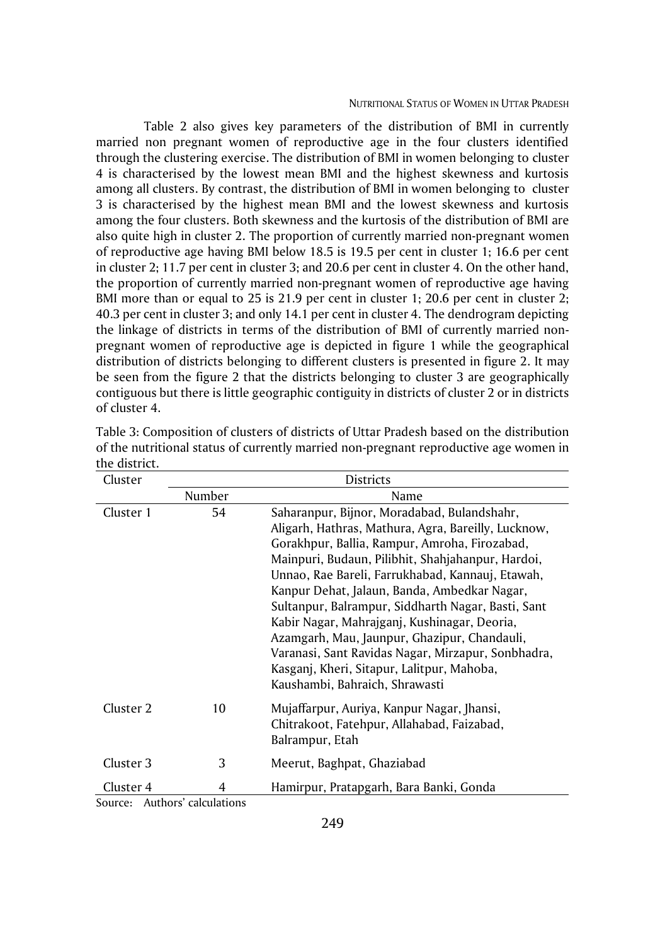Table 2 also gives key parameters of the distribution of BMI in currently married non pregnant women of reproductive age in the four clusters identified through the clustering exercise. The distribution of BMI in women belonging to cluster 4 is characterised by the lowest mean BMI and the highest skewness and kurtosis among all clusters. By contrast, the distribution of BMI in women belonging to cluster 3 is characterised by the highest mean BMI and the lowest skewness and kurtosis among the four clusters. Both skewness and the kurtosis of the distribution of BMI are also quite high in cluster 2. The proportion of currently married non-pregnant women of reproductive age having BMI below 18.5 is 19.5 per cent in cluster 1; 16.6 per cent in cluster 2; 11.7 per cent in cluster 3; and 20.6 per cent in cluster 4. On the other hand, the proportion of currently married non-pregnant women of reproductive age having BMI more than or equal to 25 is 21.9 per cent in cluster 1; 20.6 per cent in cluster 2; 40.3 per cent in cluster 3; and only 14.1 per cent in cluster 4. The dendrogram depicting the linkage of districts in terms of the distribution of BMI of currently married nonpregnant women of reproductive age is depicted in figure 1 while the geographical distribution of districts belonging to different clusters is presented in figure 2. It may be seen from the figure 2 that the districts belonging to cluster 3 are geographically contiguous but there is little geographic contiguity in districts of cluster 2 or in districts of cluster 4.

| Cluster   |                       | <b>Districts</b>                                    |  |  |
|-----------|-----------------------|-----------------------------------------------------|--|--|
|           | Number                | Name                                                |  |  |
| Cluster 1 | 54                    | Saharanpur, Bijnor, Moradabad, Bulandshahr,         |  |  |
|           |                       | Aligarh, Hathras, Mathura, Agra, Bareilly, Lucknow, |  |  |
|           |                       | Gorakhpur, Ballia, Rampur, Amroha, Firozabad,       |  |  |
|           |                       | Mainpuri, Budaun, Pilibhit, Shahjahanpur, Hardoi,   |  |  |
|           |                       | Unnao, Rae Bareli, Farrukhabad, Kannauj, Etawah,    |  |  |
|           |                       | Kanpur Dehat, Jalaun, Banda, Ambedkar Nagar,        |  |  |
|           |                       | Sultanpur, Balrampur, Siddharth Nagar, Basti, Sant  |  |  |
|           |                       | Kabir Nagar, Mahrajganj, Kushinagar, Deoria,        |  |  |
|           |                       | Azamgarh, Mau, Jaunpur, Ghazipur, Chandauli,        |  |  |
|           |                       | Varanasi, Sant Ravidas Nagar, Mirzapur, Sonbhadra,  |  |  |
|           |                       | Kasganj, Kheri, Sitapur, Lalitpur, Mahoba,          |  |  |
|           |                       | Kaushambi, Bahraich, Shrawasti                      |  |  |
| Cluster 2 | 10                    | Mujaffarpur, Auriya, Kanpur Nagar, Jhansi,          |  |  |
|           |                       | Chitrakoot, Fatehpur, Allahabad, Faizabad,          |  |  |
|           |                       | Balrampur, Etah                                     |  |  |
| Cluster 3 | 3                     | Meerut, Baghpat, Ghaziabad                          |  |  |
| Cluster 4 | 4                     | Hamirpur, Pratapgarh, Bara Banki, Gonda             |  |  |
| Source:   | Authors' calculations |                                                     |  |  |

| Table 3: Composition of clusters of districts of Uttar Pradesh based on the distribution |
|------------------------------------------------------------------------------------------|
| of the nutritional status of currently married non-pregnant reproductive age women in    |
| the district.                                                                            |

Source: Authors' calculations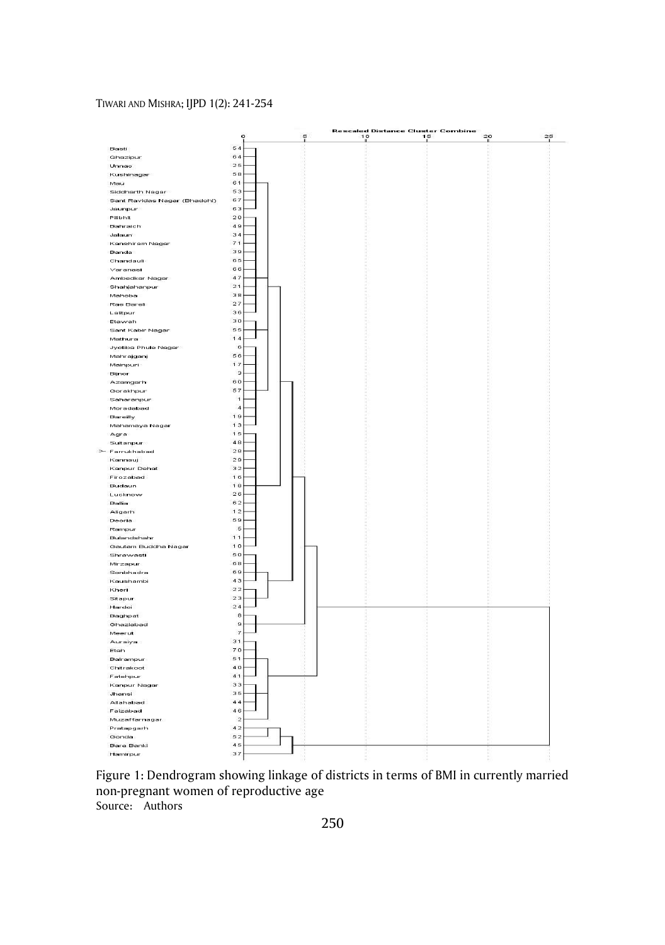

Figure 1: Dendrogram showing linkage of districts in terms of BMI in currently married non-pregnant women of reproductive age Source: Authors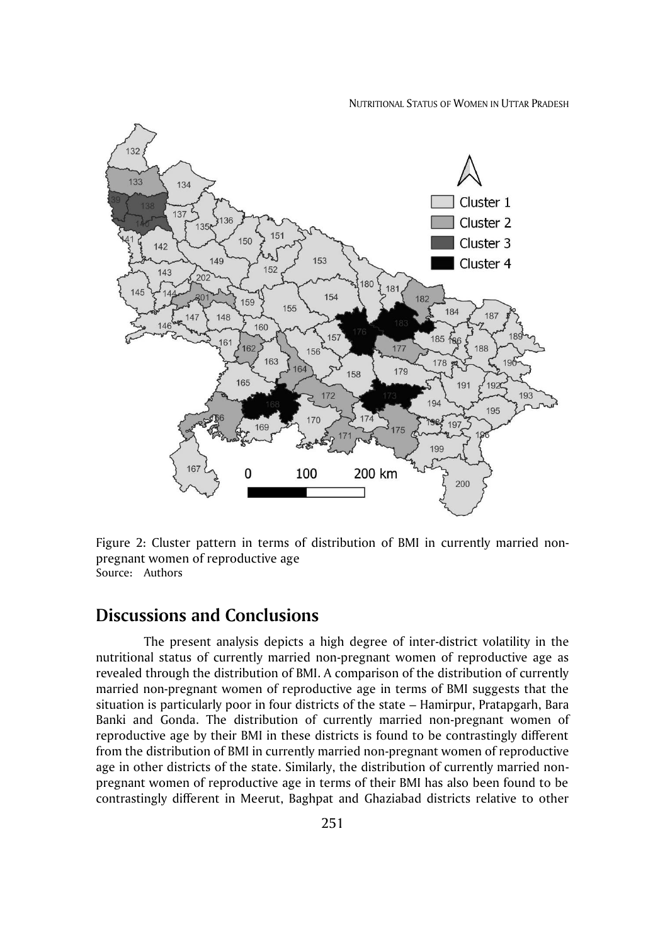NUTRITIONAL STATUS OF WOMEN IN UTTAR PRADESH



Figure 2: Cluster pattern in terms of distribution of BMI in currently married nonpregnant women of reproductive age Source: Authors

### **Discussions and Conclusions**

The present analysis depicts a high degree of inter-district volatility in the nutritional status of currently married non-pregnant women of reproductive age as revealed through the distribution of BMI. A comparison of the distribution of currently married non-pregnant women of reproductive age in terms of BMI suggests that the situation is particularly poor in four districts of the state – Hamirpur, Pratapgarh, Bara Banki and Gonda. The distribution of currently married non-pregnant women of reproductive age by their BMI in these districts is found to be contrastingly different from the distribution of BMI in currently married non-pregnant women of reproductive age in other districts of the state. Similarly, the distribution of currently married nonpregnant women of reproductive age in terms of their BMI has also been found to be contrastingly different in Meerut, Baghpat and Ghaziabad districts relative to other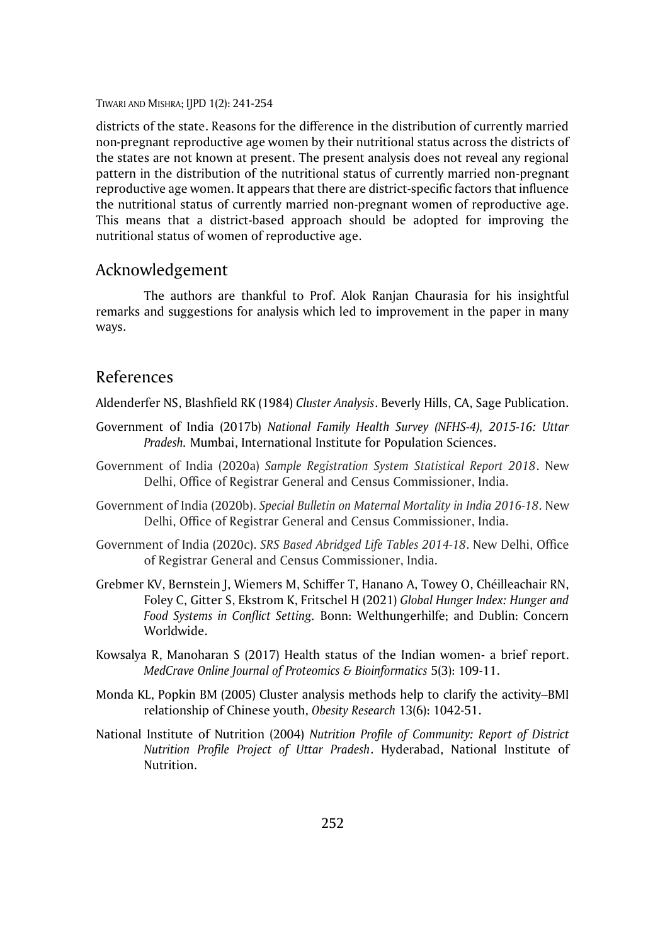districts of the state. Reasons for the difference in the distribution of currently married non-pregnant reproductive age women by their nutritional status across the districts of the states are not known at present. The present analysis does not reveal any regional pattern in the distribution of the nutritional status of currently married non-pregnant reproductive age women. It appears that there are district-specific factors that influence the nutritional status of currently married non-pregnant women of reproductive age. This means that a district-based approach should be adopted for improving the nutritional status of women of reproductive age.

### Acknowledgement

The authors are thankful to Prof. Alok Ranjan Chaurasia for his insightful remarks and suggestions for analysis which led to improvement in the paper in many ways.

### References

Aldenderfer NS, Blashfield RK (1984) *Cluster Analysis*. Beverly Hills, CA, Sage Publication.

- Government of India (2017b) *National Family Health Survey (NFHS-4), 2015-16: Uttar Pradesh.* Mumbai, International Institute for Population Sciences.
- Government of India (2020a) *Sample Registration System Statistical Report 2018*. New Delhi, Office of Registrar General and Census Commissioner, India.
- Government of India (2020b). *Special Bulletin on Maternal Mortality in India 2016-18*. New Delhi, Office of Registrar General and Census Commissioner, India.
- Government of India (2020c). *SRS Based Abridged Life Tables 2014-18*. New Delhi, Office of Registrar General and Census Commissioner, India.
- Grebmer KV, Bernstein J, Wiemers M, Schiffer T, Hanano A, Towey O, Chéilleachair RN, Foley C, Gitter S, Ekstrom K, Fritschel H (2021) *Global Hunger Index: Hunger and Food Systems in Conflict Setting.* Bonn: Welthungerhilfe; and Dublin: Concern Worldwide.
- Kowsalya R, Manoharan S (2017) Health status of the Indian women- a brief report. *MedCrave Online Journal of Proteomics & Bioinformatics* 5(3): 109-11.
- Monda KL, Popkin BM (2005) Cluster analysis methods help to clarify the activity–BMI relationship of Chinese youth, *Obesity Research* 13(6): 1042-51.
- National Institute of Nutrition (2004) *Nutrition Profile of Community: Report of District Nutrition Profile Project of Uttar Pradesh*. Hyderabad, National Institute of Nutrition.